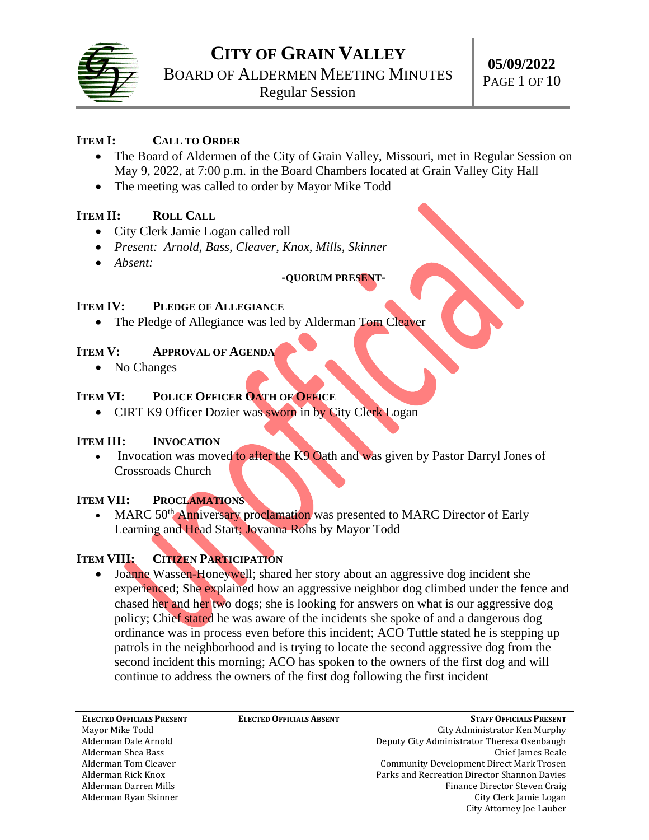

## **ITEM I: CALL TO ORDER**

- The Board of Aldermen of the City of Grain Valley, Missouri, met in Regular Session on May 9, 2022, at 7:00 p.m. in the Board Chambers located at Grain Valley City Hall
- The meeting was called to order by Mayor Mike Todd

## **ITEM II: ROLL CALL**

- City Clerk Jamie Logan called roll
- *Present: Arnold, Bass, Cleaver, Knox, Mills, Skinner*
- *Absent:*

# **-QUORUM PRESENT-**

### **ITEM IV: PLEDGE OF ALLEGIANCE**

• The Pledge of Allegiance was led by Alderman Tom Cleaver

### **ITEM V: APPROVAL OF AGENDA**

• No Changes

# **ITEM VI: POLICE OFFICER OATH OF OFFICE**

• CIRT K9 Officer Dozier was sworn in by City Clerk Logan

## **ITEM III: INVOCATION**

• Invocation was moved to after the K9 Oath and was given by Pastor Darryl Jones of Crossroads Church

## **ITEM VII: PROCLAMATIONS**

MARC 50<sup>th</sup> Anniversary proclamation was presented to MARC Director of Early Learning and Head Start; Jovanna Rohs by Mayor Todd

# **ITEM VIII: CITIZEN PARTICIPATION**

• Joanne Wassen-Honeywell; shared her story about an aggressive dog incident she experienced; She explained how an aggressive neighbor dog climbed under the fence and chased her and her two dogs; she is looking for answers on what is our aggressive dog policy; Chief stated he was aware of the incidents she spoke of and a dangerous dog ordinance was in process even before this incident; ACO Tuttle stated he is stepping up patrols in the neighborhood and is trying to locate the second aggressive dog from the second incident this morning; ACO has spoken to the owners of the first dog and will continue to address the owners of the first dog following the first incident

**ELECTED OFFICIALS PRESENT** Mayor Mike Todd Alderman Dale Arnold Alderman Shea Bass Alderman Tom Cleaver Alderman Rick Knox Alderman Darren Mills Alderman Ryan Skinner

**ELECTED OFFICIALS ABSENT**

**STAFF OFFICIALS PRESENT** City Administrator Ken Murphy Deputy City Administrator Theresa Osenbaugh Chief James Beale Community Development Direct Mark Trosen Parks and Recreation Director Shannon Davies Finance Director Steven Craig City Clerk Jamie Logan City Attorney Joe Lauber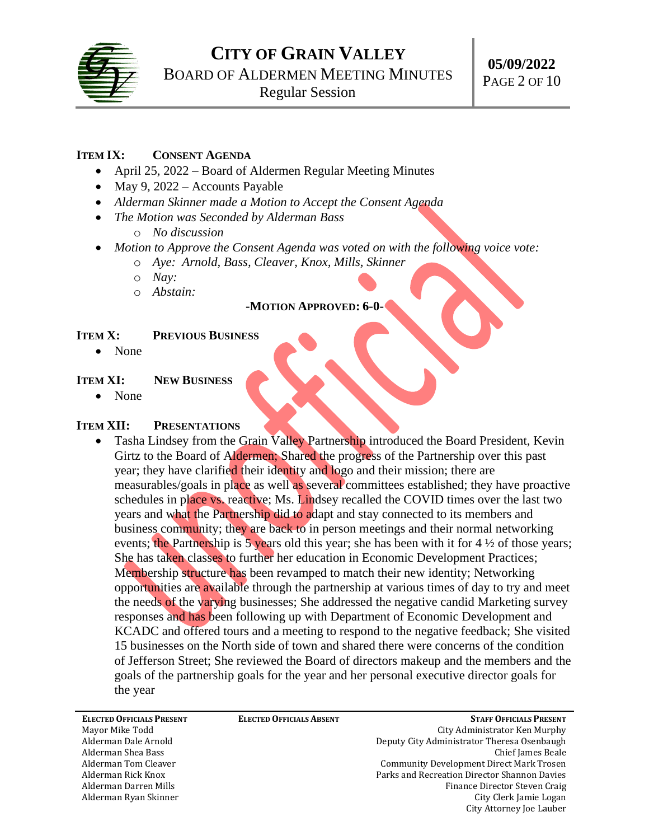

### **ITEM IX: CONSENT AGENDA**

- April 25, 2022 Board of Aldermen Regular Meeting Minutes
- May 9, 2022 Accounts Payable
- *Alderman Skinner made a Motion to Accept the Consent Agenda*
- *The Motion was Seconded by Alderman Bass*
	- o *No discussion*
- *Motion to Approve the Consent Agenda was voted on with the following voice vote:*
	- o *Aye: Arnold, Bass, Cleaver, Knox, Mills, Skinner*
	- o *Nay:*
	- o *Abstain:*

## **-MOTION APPROVED: 6-0-**

#### **ITEM X: PREVIOUS BUSINESS**

• None

#### **ITEM XI: NEW BUSINESS**

• None

#### **ITEM XII: PRESENTATIONS**

• Tasha Lindsey from the Grain Valley Partnership introduced the Board President, Kevin Girtz to the Board of Aldermen; Shared the progress of the Partnership over this past year; they have clarified their identity and logo and their mission; there are measurables/goals in place as well as several committees established; they have proactive schedules in place vs. reactive; Ms. Lindsey recalled the COVID times over the last two years and what the Partnership did to adapt and stay connected to its members and business community; they are back to in person meetings and their normal networking events; the Partnership is  $\frac{1}{2}$  years old this year; she has been with it for 4  $\frac{1}{2}$  of those years; She has taken classes to further her education in Economic Development Practices; Membership structure has been revamped to match their new identity; Networking opportunities are available through the partnership at various times of day to try and meet the needs of the varying businesses; She addressed the negative candid Marketing survey responses and has been following up with Department of Economic Development and KCADC and offered tours and a meeting to respond to the negative feedback; She visited 15 businesses on the North side of town and shared there were concerns of the condition of Jefferson Street; She reviewed the Board of directors makeup and the members and the goals of the partnership goals for the year and her personal executive director goals for the year

**ELECTED OFFICIALS PRESENT** Mayor Mike Todd Alderman Dale Arnold Alderman Shea Bass Alderman Tom Cleaver Alderman Rick Knox Alderman Darren Mills Alderman Ryan Skinner

**ELECTED OFFICIALS ABSENT**

**STAFF OFFICIALS PRESENT** City Administrator Ken Murphy Deputy City Administrator Theresa Osenbaugh Chief James Beale Community Development Direct Mark Trosen Parks and Recreation Director Shannon Davies Finance Director Steven Craig City Clerk Jamie Logan City Attorney Joe Lauber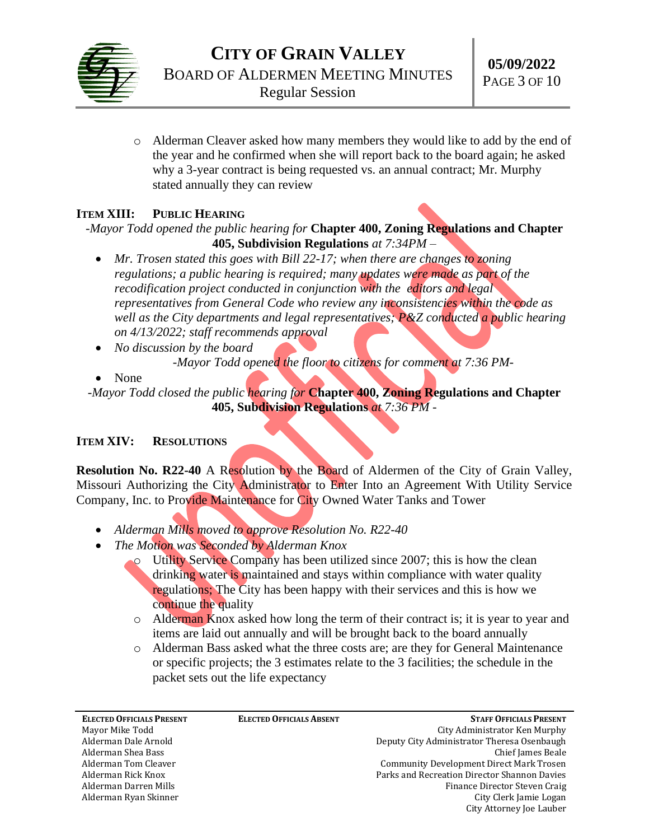

o Alderman Cleaver asked how many members they would like to add by the end of the year and he confirmed when she will report back to the board again; he asked why a 3-year contract is being requested vs. an annual contract; Mr. Murphy stated annually they can review

# **ITEM XIII: PUBLIC HEARING**

*-Mayor Todd opened the public hearing for* **Chapter 400, Zoning Regulations and Chapter 405, Subdivision Regulations** *at 7:34PM –*

- *Mr. Trosen stated this goes with Bill 22-17; when there are changes to zoning regulations; a public hearing is required; many updates were made as part of the recodification project conducted in conjunction with the editors and legal representatives from General Code who review any inconsistencies within the code as well as the City departments and legal representatives; P&Z conducted a public hearing on 4/13/2022; staff recommends approval*
- *No discussion by the board -Mayor Todd opened the floor to citizens for comment at 7:36 PM-*
- None

*-Mayor Todd closed the public hearing for* **Chapter 400, Zoning Regulations and Chapter 405, Subdivision Regulations** *at 7:36 PM -*

## **ITEM XIV: RESOLUTIONS**

**Resolution No. R22-40** A Resolution by the Board of Aldermen of the City of Grain Valley, Missouri Authorizing the City Administrator to Enter Into an Agreement With Utility Service Company, Inc. to Provide Maintenance for City Owned Water Tanks and Tower

- *Alderman Mills moved to approve Resolution No. R22-40*
- *The Motion was Seconded by Alderman Knox*
	- o Utility Service Company has been utilized since 2007; this is how the clean drinking water is maintained and stays within compliance with water quality regulations; The City has been happy with their services and this is how we continue the quality
	- $\circ$  Alderman Knox asked how long the term of their contract is; it is year to year and items are laid out annually and will be brought back to the board annually
	- o Alderman Bass asked what the three costs are; are they for General Maintenance or specific projects; the 3 estimates relate to the 3 facilities; the schedule in the packet sets out the life expectancy

**ELECTED OFFICIALS PRESENT** Mayor Mike Todd Alderman Dale Arnold Alderman Shea Bass Alderman Tom Cleaver Alderman Rick Knox Alderman Darren Mills Alderman Ryan Skinner

**ELECTED OFFICIALS ABSENT**

**STAFF OFFICIALS PRESENT** City Administrator Ken Murphy Deputy City Administrator Theresa Osenbaugh Chief James Beale Community Development Direct Mark Trosen Parks and Recreation Director Shannon Davies Finance Director Steven Craig City Clerk Jamie Logan City Attorney Joe Lauber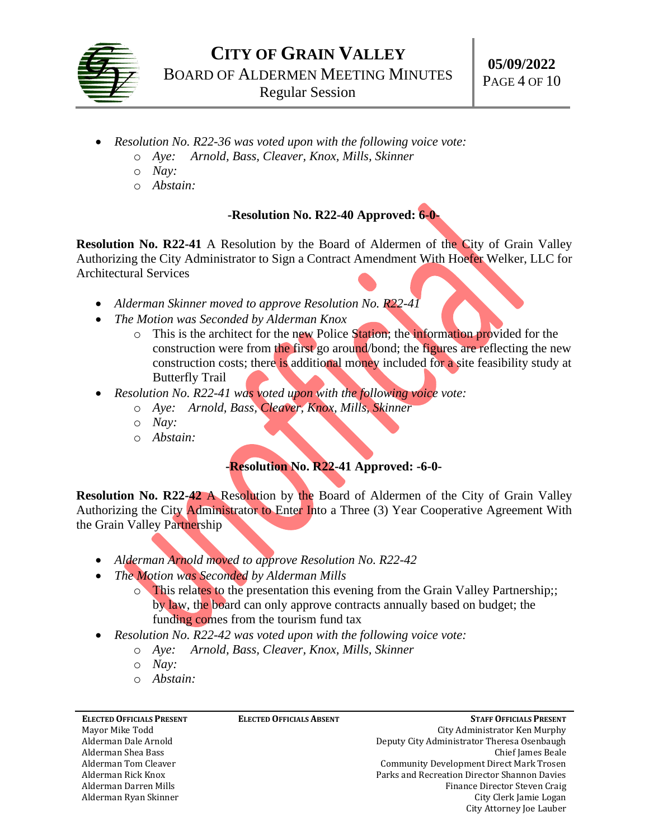

- *Resolution No. R22-36 was voted upon with the following voice vote:*
	- o *Aye: Arnold, Bass, Cleaver, Knox, Mills, Skinner*
	- o *Nay:*
	- o *Abstain:*

### **-Resolution No. R22-40 Approved: 6-0-**

**Resolution No. R22-41** A Resolution by the Board of Aldermen of the City of Grain Valley Authorizing the City Administrator to Sign a Contract Amendment With Hoefer Welker, LLC for Architectural Services

- *Alderman Skinner moved to approve Resolution No. R22-41*
- *The Motion was Seconded by Alderman Knox*
	- o This is the architect for the new Police Station; the information provided for the construction were from the first go around/bond; the figures are reflecting the new construction costs; there is additional money included for a site feasibility study at Butterfly Trail
- *Resolution No. R22-41 was voted upon with the following voice vote:*
	- o *Aye: Arnold, Bass, Cleaver, Knox, Mills, Skinner*
	- o *Nay:*
	- o *Abstain:*

#### **-Resolution No. R22-41 Approved: -6-0-**

**Resolution No. R22-42** A Resolution by the Board of Aldermen of the City of Grain Valley Authorizing the City Administrator to Enter Into a Three (3) Year Cooperative Agreement With the Grain Valley Partnership

- *Alderman Arnold moved to approve Resolution No. R22-42*
- *The Motion was Seconded by Alderman Mills*
	- o This relates to the presentation this evening from the Grain Valley Partnership;; by law, the board can only approve contracts annually based on budget; the funding comes from the tourism fund tax
- *Resolution No. R22-42 was voted upon with the following voice vote:*
	- o *Aye: Arnold, Bass, Cleaver, Knox, Mills, Skinner*
	- o *Nay:*
	- o *Abstain:*

| <b>ELECTED OFFICIALS PRESENT</b> | <b>ELECTED OFFICIALS ABSENT</b> | <b>STAFF OFFICIALS PRESENT</b>               |
|----------------------------------|---------------------------------|----------------------------------------------|
| Mayor Mike Todd                  |                                 | City Administrator Ken Murphy                |
| Alderman Dale Arnold             |                                 | Deputy City Administrator Theresa Osenbaugh  |
| Alderman Shea Bass               |                                 | Chief James Beale                            |
| Alderman Tom Cleaver             |                                 | Community Development Direct Mark Trosen     |
| Alderman Rick Knox               |                                 | Parks and Recreation Director Shannon Davies |
| Alderman Darren Mills            |                                 | Finance Director Steven Craig                |
| Alderman Ryan Skinner            |                                 | City Clerk Jamie Logan                       |
|                                  |                                 | City Attorney Joe Lauber                     |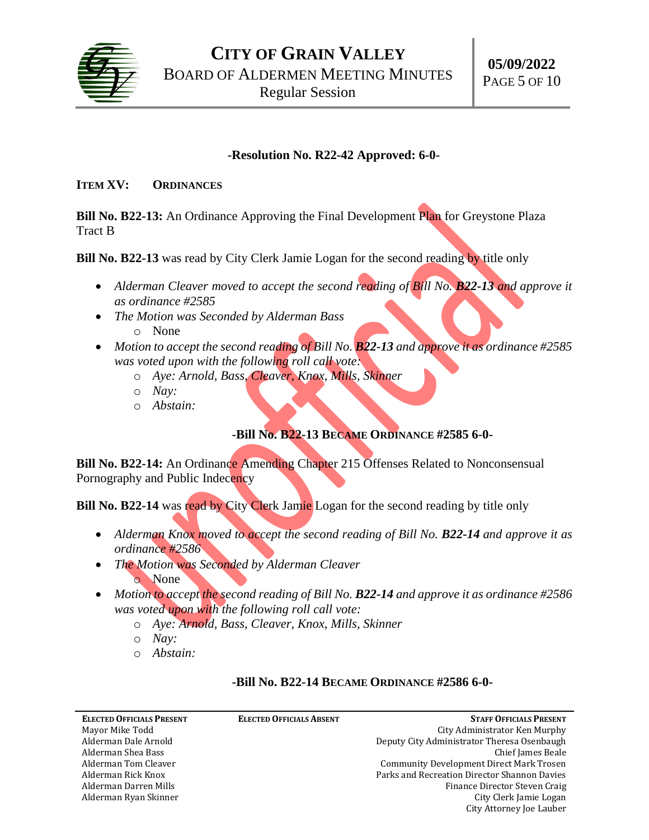

#### **-Resolution No. R22-42 Approved: 6-0-**

#### **ITEM XV: ORDINANCES**

**Bill No. B22-13:** An Ordinance Approving the Final Development Plan for Greystone Plaza Tract B

**Bill No. B22-13** was read by City Clerk Jamie Logan for the second reading by title only

- *Alderman Cleaver moved to accept the second reading of Bill No. B22-13 and approve it as ordinance #2585*
- *The Motion was Seconded by Alderman Bass* o None
- *Motion to accept the second reading of Bill No. B22-13 and approve it as ordinance #2585 was voted upon with the following roll call vote:*
	- o *Aye: Arnold, Bass, Cleaver, Knox, Mills, Skinner*
	- o *Nay:*
	- o *Abstain:*

## **-Bill No. B22-13 BECAME ORDINANCE #2585 6-0-**

**Bill No. B22-14:** An Ordinance Amending Chapter 215 Offenses Related to Nonconsensual Pornography and Public Indecency

**Bill No. B22-14** was read by City Clerk Jamie Logan for the second reading by title only

- Alderman Knox moved to accept the second reading of Bill No. **B22-14** and approve it as *ordinance #2586*
- *The Motion was Seconded by Alderman Cleaver* o None
- *Motion to accept the second reading of Bill No. B22-14 and approve it as ordinance #2586 was voted upon with the following roll call vote:*
	- o *Aye: Arnold, Bass, Cleaver, Knox, Mills, Skinner*
	- o *Nay:*
	- o *Abstain:*

#### **-Bill No. B22-14 BECAME ORDINANCE #2586 6-0-**

| <b>ELECTED OFFICIALS PRESENT</b> | <b>ELECTED OFFICIALS ABSENT</b> | <b>STAFF OFFICIALS PRESENT</b>                  |
|----------------------------------|---------------------------------|-------------------------------------------------|
| Mayor Mike Todd                  |                                 | City Administrator Ken Murphy                   |
| Alderman Dale Arnold             |                                 | Deputy City Administrator Theresa Osenbaugh     |
| Alderman Shea Bass               |                                 | Chief James Beale                               |
| Alderman Tom Cleaver             |                                 | <b>Community Development Direct Mark Trosen</b> |
| Alderman Rick Knox               |                                 | Parks and Recreation Director Shannon Davies    |
| Alderman Darren Mills            |                                 | Finance Director Steven Craig                   |
| Alderman Ryan Skinner            |                                 | City Clerk Jamie Logan                          |
|                                  |                                 | City Attorney Joe Lauber                        |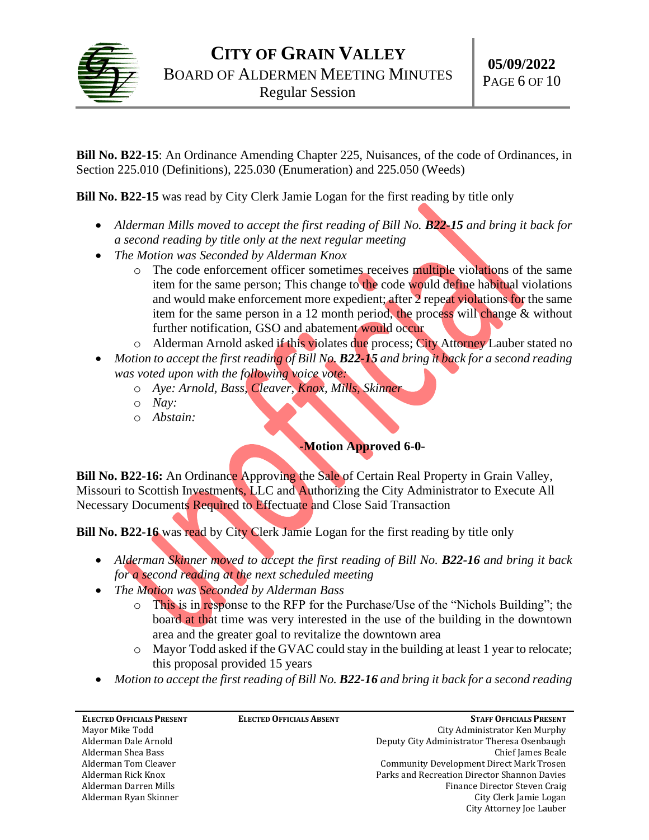

**Bill No. B22-15**: An Ordinance Amending Chapter 225, Nuisances, of the code of Ordinances, in Section 225.010 (Definitions), 225.030 (Enumeration) and 225.050 (Weeds)

**Bill No. B22-15** was read by City Clerk Jamie Logan for the first reading by title only

- Alderman Mills moved to accept the first reading of Bill No. **B22-15** and bring it back for *a second reading by title only at the next regular meeting*
- *The Motion was Seconded by Alderman Knox*
	- $\circ$  The code enforcement officer sometimes receives multiple violations of the same item for the same person; This change to the code would define habitual violations and would make enforcement more expedient; after 2 repeat violations for the same item for the same person in a 12 month period, the process will change & without further notification, GSO and abatement would occur
	- o Alderman Arnold asked if this violates due process; City Attorney Lauber stated no
- *Motion to accept the first reading of Bill No. B22-15 and bring it back for a second reading was voted upon with the following voice vote:*
	- o *Aye: Arnold, Bass, Cleaver, Knox, Mills, Skinner*
	- o *Nay:*
	- o *Abstain:*

## **-Motion Approved 6-0-**

**Bill No. B22-16:** An Ordinance Approving the Sale of Certain Real Property in Grain Valley, Missouri to Scottish Investments, LLC and Authorizing the City Administrator to Execute All Necessary Documents Required to Effectuate and Close Said Transaction

**Bill No. B22-16** was read by City Clerk Jamie Logan for the first reading by title only

- *Alderman Skinner moved to accept the first reading of Bill No. B22-16 and bring it back for a second reading at the next scheduled meeting*
- *The Motion was Seconded by Alderman Bass*
	- o This is in response to the RFP for the Purchase/Use of the "Nichols Building"; the board at that time was very interested in the use of the building in the downtown area and the greater goal to revitalize the downtown area
	- o Mayor Todd asked if the GVAC could stay in the building at least 1 year to relocate; this proposal provided 15 years
- *Motion to accept the first reading of Bill No. B22-16 and bring it back for a second reading*

| <b>ELECTED OFFICIALS PRESENT</b> | <b>ELECTED OFFICIALS ABSENT</b> | <b>STAFF OFFICIALS PRESENT</b>                  |
|----------------------------------|---------------------------------|-------------------------------------------------|
| Mayor Mike Todd                  |                                 | City Administrator Ken Murphy                   |
| Alderman Dale Arnold             |                                 | Deputy City Administrator Theresa Osenbaugh     |
| Alderman Shea Bass               |                                 | Chief James Beale                               |
| Alderman Tom Cleaver             |                                 | <b>Community Development Direct Mark Trosen</b> |
| Alderman Rick Knox               |                                 | Parks and Recreation Director Shannon Davies    |
| Alderman Darren Mills            |                                 | Finance Director Steven Craig                   |
| Alderman Ryan Skinner            |                                 | City Clerk Jamie Logan                          |
|                                  |                                 | City Attorney Joe Lauber                        |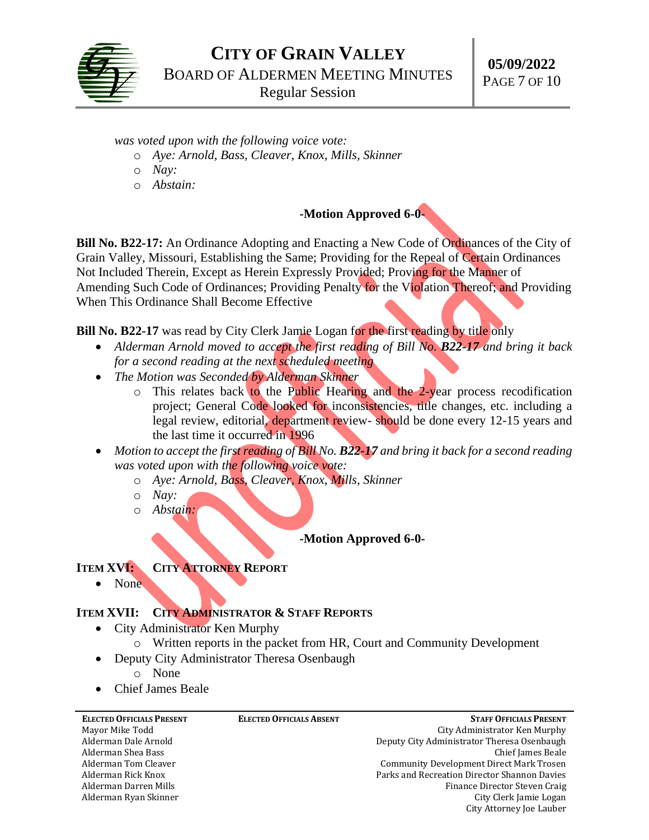

*was voted upon with the following voice vote:*

- o *Aye: Arnold, Bass, Cleaver, Knox, Mills, Skinner*
- o *Nay:*
- o *Abstain:*

# **-Motion Approved 6-0-**

**Bill No. B22-17:** An Ordinance Adopting and Enacting a New Code of Ordinances of the City of Grain Valley, Missouri, Establishing the Same; Providing for the Repeal of Certain Ordinances Not Included Therein, Except as Herein Expressly Provided; Proving for the Manner of Amending Such Code of Ordinances; Providing Penalty for the Violation Thereof; and Providing When This Ordinance Shall Become Effective

**Bill No. B22-17** was read by City Clerk Jamie Logan for the first reading by title only

- *Alderman Arnold moved to accept the first reading of Bill No. B22-17 and bring it back for a second reading at the next scheduled meeting*
- *The Motion was Seconded by Alderman Skinner*
	- o This relates back to the Public Hearing and the 2-year process recodification project; General Code looked for inconsistencies, title changes, etc. including a legal review, editorial, department review- should be done every 12-15 years and the last time it occurred in 1996
- *Motion to accept the first reading of Bill No. B22-17 and bring it back for a second reading was voted upon with the following voice vote:*
	- o *Aye: Arnold, Bass, Cleaver, Knox, Mills, Skinner*
	- o *Nay:*
	- o *Abstain:*

**-Motion Approved 6-0-**

#### **ITEM XVI: CITY ATTORNEY REPORT**

• None

## **ITEM XVII: CITY ADMINISTRATOR & STAFF REPORTS**

- City Administrator Ken Murphy
	- o Written reports in the packet from HR, Court and Community Development
- Deputy City Administrator Theresa Osenbaugh
	- o None
- Chief James Beale

| <b>ELECTED OFFICIALS PRESENT</b> | <b>ELECTED OFFICIALS ABSENT</b> | <b>STAFF OFFICIALS PRESENT</b>               |
|----------------------------------|---------------------------------|----------------------------------------------|
| Mayor Mike Todd                  |                                 | City Administrator Ken Murphy                |
| Alderman Dale Arnold             |                                 | Deputy City Administrator Theresa Osenbaugh  |
| Alderman Shea Bass               |                                 | Chief James Beale                            |
| Alderman Tom Cleaver             |                                 | Community Development Direct Mark Trosen     |
| Alderman Rick Knox               |                                 | Parks and Recreation Director Shannon Davies |
| Alderman Darren Mills            |                                 | Finance Director Steven Craig                |
| Alderman Ryan Skinner            |                                 | City Clerk Jamie Logan                       |
|                                  |                                 | City Attorney Joe Lauber                     |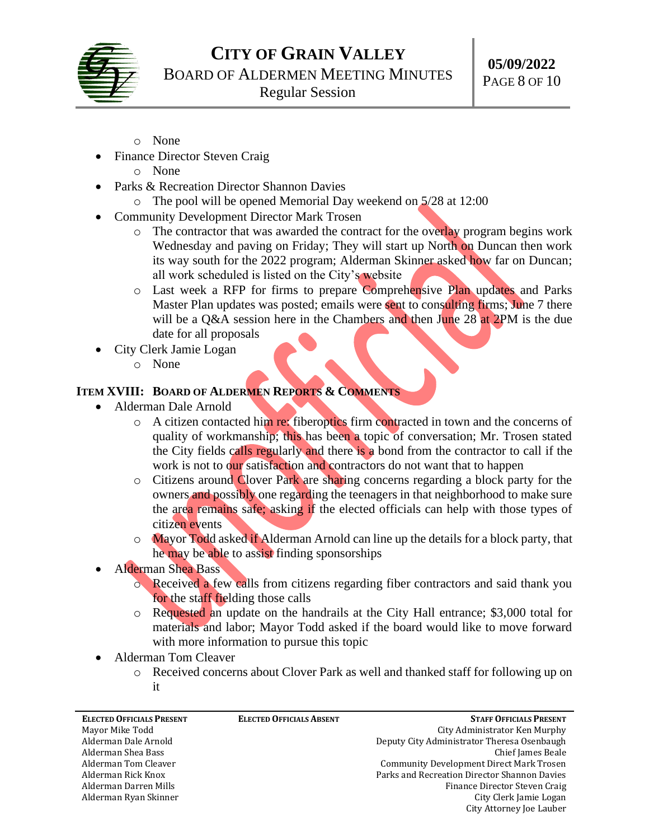

- o None
- **Finance Director Steven Craig** 
	- o None
- Parks & Recreation Director Shannon Davies
	- o The pool will be opened Memorial Day weekend on 5/28 at 12:00
- Community Development Director Mark Trosen
	- o The contractor that was awarded the contract for the overlay program begins work Wednesday and paving on Friday; They will start up North on Duncan then work its way south for the 2022 program; Alderman Skinner asked how far on Duncan; all work scheduled is listed on the City's website
	- o Last week a RFP for firms to prepare Comprehensive Plan updates and Parks Master Plan updates was posted; emails were sent to consulting firms; June 7 there will be a Q&A session here in the Chambers and then June 28 at 2PM is the due date for all proposals
- City Clerk Jamie Logan
	- o None

# **ITEM XVIII: BOARD OF ALDERMEN REPORTS & COMMENTS**

- Alderman Dale Arnold
	- o A citizen contacted him re: fiberoptics firm contracted in town and the concerns of quality of workmanship; this has been a topic of conversation; Mr. Trosen stated the City fields calls regularly and there is a bond from the contractor to call if the work is not to our satisfaction and contractors do not want that to happen
	- o Citizens around Clover Park are sharing concerns regarding a block party for the owners and possibly one regarding the teenagers in that neighborhood to make sure the area remains safe; asking if the elected officials can help with those types of citizen events
	- o Mayor Todd asked if Alderman Arnold can line up the details for a block party, that he may be able to assist finding sponsorships
- Alderman Shea Bass
	- o Received a few calls from citizens regarding fiber contractors and said thank you for the staff fielding those calls
	- o Requested an update on the handrails at the City Hall entrance; \$3,000 total for materials and labor; Mayor Todd asked if the board would like to move forward with more information to pursue this topic
- Alderman Tom Cleaver
	- o Received concerns about Clover Park as well and thanked staff for following up on it

| <b>ELECTED OFFICIALS PRESENT</b> | <b>ELECTED OFFICIALS ABSENT</b> | <b>STAFF OFFICIALS PRESENT</b>               |
|----------------------------------|---------------------------------|----------------------------------------------|
| Mayor Mike Todd                  |                                 | City Administrator Ken Murphy                |
| Alderman Dale Arnold             |                                 | Deputy City Administrator Theresa Osenbaugh  |
| Alderman Shea Bass               |                                 | Chief James Beale                            |
| Alderman Tom Cleaver             |                                 | Community Development Direct Mark Trosen     |
| Alderman Rick Knox               |                                 | Parks and Recreation Director Shannon Davies |
| Alderman Darren Mills            |                                 | Finance Director Steven Craig                |
| Alderman Ryan Skinner            |                                 | City Clerk Jamie Logan                       |
|                                  |                                 | City Attorney Joe Lauber                     |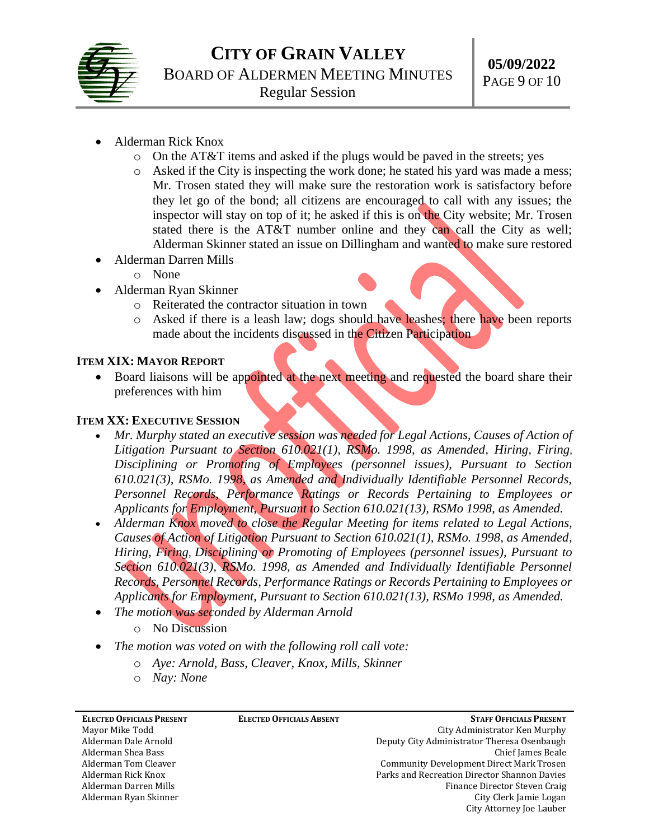

- Alderman Rick Knox
	- $\circ$  On the AT&T items and asked if the plugs would be paved in the streets; yes
	- o Asked if the City is inspecting the work done; he stated his yard was made a mess; Mr. Trosen stated they will make sure the restoration work is satisfactory before they let go of the bond; all citizens are encouraged to call with any issues; the inspector will stay on top of it; he asked if this is on the City website; Mr. Trosen stated there is the AT&T number online and they can call the City as well; Alderman Skinner stated an issue on Dillingham and wanted to make sure restored
- Alderman Darren Mills
	- o None
- Alderman Ryan Skinner
	- o Reiterated the contractor situation in town
	- o Asked if there is a leash law; dogs should have leashes; there have been reports made about the incidents discussed in the Citizen Participation

### **ITEM XIX: MAYOR REPORT**

• Board liaisons will be appointed at the next meeting and requested the board share their preferences with him

### **ITEM XX: EXECUTIVE SESSION**

- *Mr. Murphy stated an executive session was needed for Legal Actions, Causes of Action of Litigation Pursuant to Section 610.021(1), RSMo. 1998, as Amended, Hiring, Firing*, *Disciplining or Promoting of Employees (personnel issues), Pursuant to Section 610.021(3), RSMo. 1998, as Amended and Individually Identifiable Personnel Records, Personnel Records, Performance Ratings or Records Pertaining to Employees or Applicants for Employment, Pursuant to Section 610.021(13), RSMo 1998, as Amended.*
- *Alderman Knox moved to close the Regular Meeting for items related to Legal Actions, Causes of Action of Litigation Pursuant to Section 610.021(1), RSMo. 1998, as Amended, Hiring, Firing*, *Disciplining or Promoting of Employees (personnel issues), Pursuant to Section 610.021(3), RSMo. 1998, as Amended and Individually Identifiable Personnel Records, Personnel Records, Performance Ratings or Records Pertaining to Employees or Applicants for Employment, Pursuant to Section 610.021(13), RSMo 1998, as Amended.*
- *The motion was seconded by Alderman Arnold*
	- o No Discussion
- *The motion was voted on with the following roll call vote:*
	- o *Aye: Arnold, Bass, Cleaver, Knox, Mills, Skinner*
	- o *Nay: None*

| <b>ELECTED OFFICIALS PRESENT</b> | <b>ELECTED OFFICIALS ABSENT</b> | <b>STAFF OFFICIALS PRESENT</b>                  |
|----------------------------------|---------------------------------|-------------------------------------------------|
| Mayor Mike Todd                  |                                 | City Administrator Ken Murphy                   |
| Alderman Dale Arnold             |                                 | Deputy City Administrator Theresa Osenbaugh     |
| Alderman Shea Bass               |                                 | Chief James Beale                               |
| Alderman Tom Cleaver             |                                 | <b>Community Development Direct Mark Trosen</b> |
| Alderman Rick Knox               |                                 | Parks and Recreation Director Shannon Davies    |
| Alderman Darren Mills            |                                 | Finance Director Steven Craig                   |
| Alderman Ryan Skinner            |                                 | City Clerk Jamie Logan                          |
|                                  |                                 | City Attorney Joe Lauber                        |